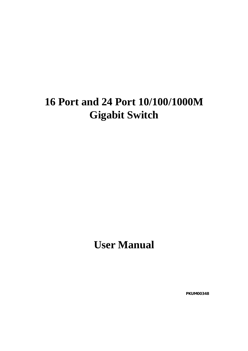# **16 Port and 24 Port 10/100/1000M Gigabit Switch**

**User Manual** 

 **PKUM00348**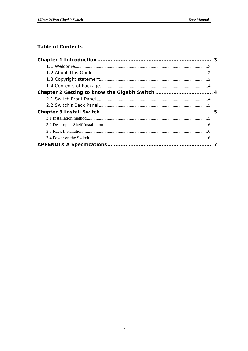#### **Table of Contents**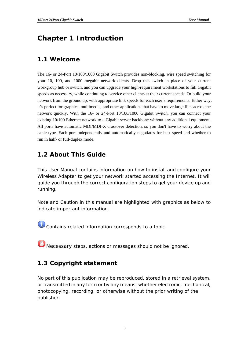## <span id="page-2-0"></span>**Chapter 1 Introduction**

#### **1.1 Welcome**

The 16- or 24-Port 10/100/1000 Gigabit Switch provides non-blocking, wire speed switching for your 10, 100, and 1000 megabit network clients. Drop this switch in place of your current workgroup hub or switch, and you can upgrade your high-requirement workstations to full Gigabit speeds as necessary, while continuing to service other clients at their current speeds. Or build your network from the ground up, with appropriate link speeds for each user's requirements. Either way, it's perfect for graphics, multimedia, and other applications that have to move large files across the network quickly. With the 16- or 24-Port 10/100/1000 Gigabit Switch, you can connect your existing 10/100 Ethernet network to a Gigabit server backbone without any additional equipment. All ports have automatic MDI/MDI-X crossover detection, so you don't have to worry about the cable type. Each port independently and automatically negotiates for best speed and whether to run in half- or full-duplex mode.

#### **1.2 About This Guide**

This User Manual contains information on how to install and configure your Wireless Adapter to get your network started accessing the Internet. It will guide you through the correct configuration steps to get your device up and running.

Note and Caution in this manual are highlighted with graphics as below to indicate important information.

Contains related information corresponds to a topic.

Necessary steps, actions or messages should not be ignored.

#### **1.3 Copyright statement**

No part of this publication may be reproduced, stored in a retrieval system, or transmitted in any form or by any means, whether electronic, mechanical, photocopying, recording, or otherwise without the prior writing of the publisher.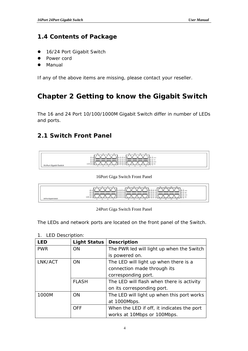#### <span id="page-3-0"></span>**1.4 Contents of Package**

- 16/24 Port Gigabit Switch
- Power cord
- Manual

If any of the above items are missing, please contact your reseller.

## **Chapter 2 Getting to know the Gigabit Switch**

The 16 and 24 Port 10/100/1000M Gigabit Switch differ in number of LEDs and ports.

#### **2.1 Switch Front Panel**



16Port Giga Switch Front Panel

| 164<br><b>MX</b><br>$\mathcal{M}$<br><b><i><u>President</u></i></b><br>a Mare<br>O<<br>0000<br>000<br>0.55<br>۱۵.<br>. TIP<br>. |
|---------------------------------------------------------------------------------------------------------------------------------|
| --<br><b>NN O O</b><br>$-158$                                                                                                   |

24Port Giga Switch Front Panel

The LEDs and network ports are located on the front panel of the Switch.

| <b>LED</b> | <b>Light Status</b> | <b>Description</b>                         |
|------------|---------------------|--------------------------------------------|
| <b>PWR</b> | <b>ON</b>           | The PWR led will light up when the Switch  |
|            |                     | is powered on.                             |
| LNK/ACT    | <b>ON</b>           | The LED will light up when there is a      |
|            |                     | connection made through its                |
|            |                     | corresponding port.                        |
|            | <b>FLASH</b>        | The LED will flash when there is activity  |
|            |                     | on its corresponding port.                 |
| 1000M      | <b>ON</b>           | The LED will light up when this port works |
|            |                     | at 1000Mbps.                               |
|            | <b>OFF</b>          | When the LED if off, it indicates the port |
|            |                     | works at 10Mbps or 100Mbps.                |

1. LED Description: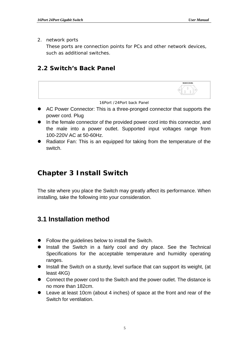<span id="page-4-0"></span>2. network ports

These ports are connection points for PCs and other network devices, such as additional switches.

#### **2.2 Switch's Back Panel**



Radiator Fan: This is an equipped for taking from the temperature of the switch.

## **Chapter 3 Install Switch**

The site where you place the Switch may greatly affect its performance. When installing, take the following into your consideration.

## **3.1 Installation method**

- $\bullet$  Follow the guidelines below to install the Switch.
- Install the Switch in a fairly cool and dry place. See the Technical Specifications for the acceptable temperature and humidity operating ranges.
- Install the Switch on a sturdy, level surface that can support its weight, (at least 4KG)
- Connect the power cord to the Switch and the power outlet. The distance is no more than 182cm.
- Leave at least 10cm (about 4 inches) of space at the front and rear of the Switch for ventilation.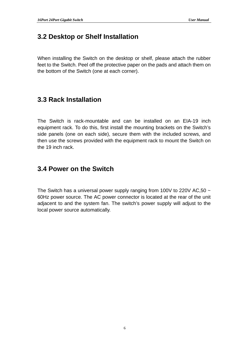### <span id="page-5-0"></span>**3.2 Desktop or Shelf Installation**

When installing the Switch on the desktop or shelf, please attach the rubber feet to the Switch. Peel off the protective paper on the pads and attach them on the bottom of the Switch (one at each corner).

#### **3.3 Rack Installation**

The Switch is rack-mountable and can be installed on an EIA-19 inch equipment rack. To do this, first install the mounting brackets on the Switch's side panels (one on each side), secure them with the included screws, and then use the screws provided with the equipment rack to mount the Switch on the 19 inch rack.

#### **3.4 Power on the Switch**

The Switch has a universal power supply ranging from 100V to 220V AC, 50  $\sim$ 60Hz power source. The AC power connector is located at the rear of the unit adjacent to and the system fan. The switch's power supply will adjust to the local power source automatically.